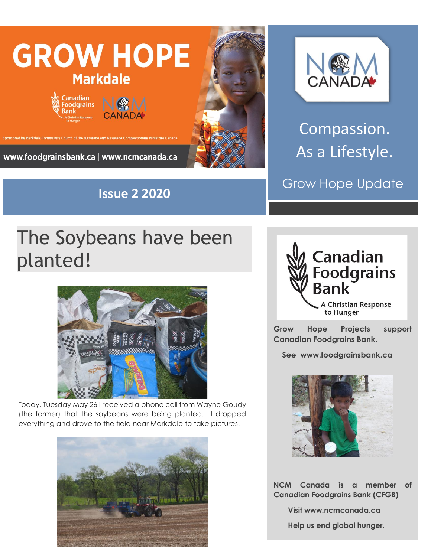

**Issue 2 2020**

# **NOW**

Compassion. As a Lifestyle.

Grow Hope Update

## The Soybeans have been planted!



Today, Tuesday May 26 I received a phone call from Wayne Goudy (the farmer) that the soybeans were being planted. I dropped everything and drove to the field near Markdale to take pictures.





**Grow Hope Projects support Canadian Foodgrains Bank.** 

 **See www.foodgrainsbank.ca**



**NCM Canada is a member of Canadian Foodgrains Bank (CFGB)**

 **Visit www.ncmcanada.ca**

 **Help us end global hunger.**